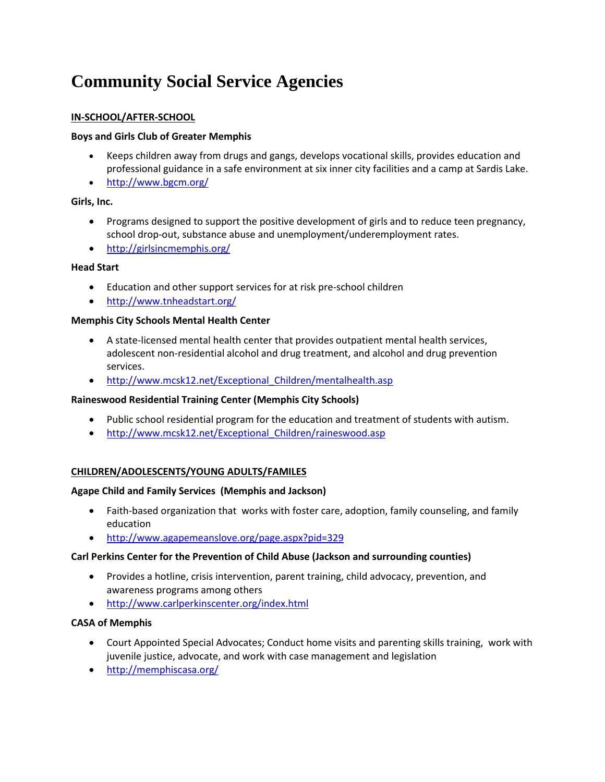# **Community Social Service Agencies**

# **IN-SCHOOL/AFTER-SCHOOL**

# **Boys and Girls Club of Greater Memphis**

- Keeps children away from drugs and gangs, develops vocational skills, provides education and professional guidance in a safe environment at six inner city facilities and a camp at Sardis Lake.
- <http://www.bgcm.org/>

# **Girls, Inc.**

- Programs designed to support the positive development of girls and to reduce teen pregnancy, school drop-out, substance abuse and unemployment/underemployment rates.
- <http://girlsincmemphis.org/>

## **Head Start**

- Education and other support services for at risk pre-school children
- <http://www.tnheadstart.org/>

# **Memphis City Schools Mental Health Center**

- A state-licensed mental health center that provides outpatient mental health services, adolescent non-residential alcohol and drug treatment, and alcohol and drug prevention services.
- [http://www.mcsk12.net/Exceptional\\_Children/mentalhealth.asp](http://www.mcsk12.net/Exceptional_Children/mentalhealth.asp)

## **Raineswood Residential Training Center (Memphis City Schools)**

- Public school residential program for the education and treatment of students with autism.
- http://www.mcsk12.net/Exceptional Children/raineswood.asp

## **CHILDREN/ADOLESCENTS/YOUNG ADULTS/FAMILES**

## **Agape Child and Family Services (Memphis and Jackson)**

- Faith-based organization that works with foster care, adoption, family counseling, and family education
- <http://www.agapemeanslove.org/page.aspx?pid=329>

## **Carl Perkins Center for the Prevention of Child Abuse (Jackson and surrounding counties)**

- Provides a hotline, crisis intervention, parent training, child advocacy, prevention, and awareness programs among others
- <http://www.carlperkinscenter.org/index.html>

## **CASA of Memphis**

- Court Appointed Special Advocates; Conduct home visits and parenting skills training, work with juvenile justice, advocate, and work with case management and legislation
- <http://memphiscasa.org/>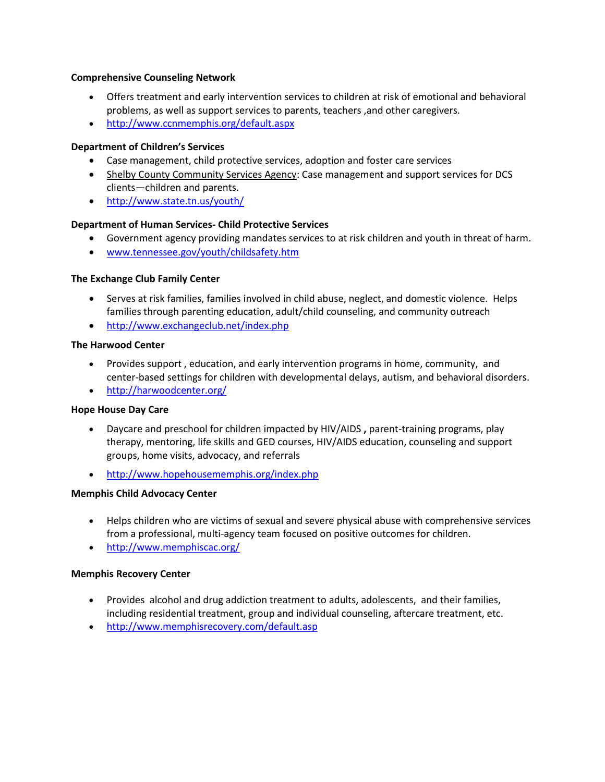#### **Comprehensive Counseling Network**

- Offers treatment and early intervention services to children at risk of emotional and behavioral problems, as well as support services to parents, teachers ,and other caregivers.
- <http://www.ccnmemphis.org/default.aspx>

#### **Department of Children's Services**

- Case management, child protective services, adoption and foster care services
- Shelby County Community Services Agency: Case management and support services for DCS clients—children and parents.
- <http://www.state.tn.us/youth/>

#### **Department of Human Services- Child Protective Services**

- Government agency providing mandates services to at risk children and youth in threat of harm.
- [www.tennessee.gov/youth/childsafety.htm](http://www.tennessee.gov/youth/childsafety.htm)

#### **The Exchange Club Family Center**

- Serves at risk families, families involved in child abuse, neglect, and domestic violence. Helps families through parenting education, adult/child counseling, and community outreach
- <http://www.exchangeclub.net/index.php>

#### **The Harwood Center**

- Provides support , education, and early intervention programs in home, community, and center-based settings for children with developmental delays, autism, and behavioral disorders.
- <http://harwoodcenter.org/>

#### **Hope House Day Care**

- Daycare and preschool for children impacted by HIV/AIDS **,** parent-training programs, play therapy, mentoring, life skills and GED courses, HIV/AIDS education, counseling and support groups, home visits, advocacy, and referrals
- <http://www.hopehousememphis.org/index.php>

## **Memphis Child Advocacy Center**

- Helps children who are victims of sexual and severe physical abuse with comprehensive services from a professional, multi-agency team focused on positive outcomes for children.
- <http://www.memphiscac.org/>

## **Memphis Recovery Center**

- Provides alcohol and drug addiction treatment to adults, adolescents, and their families, including residential treatment, group and individual counseling, aftercare treatment, etc.
- <http://www.memphisrecovery.com/default.asp>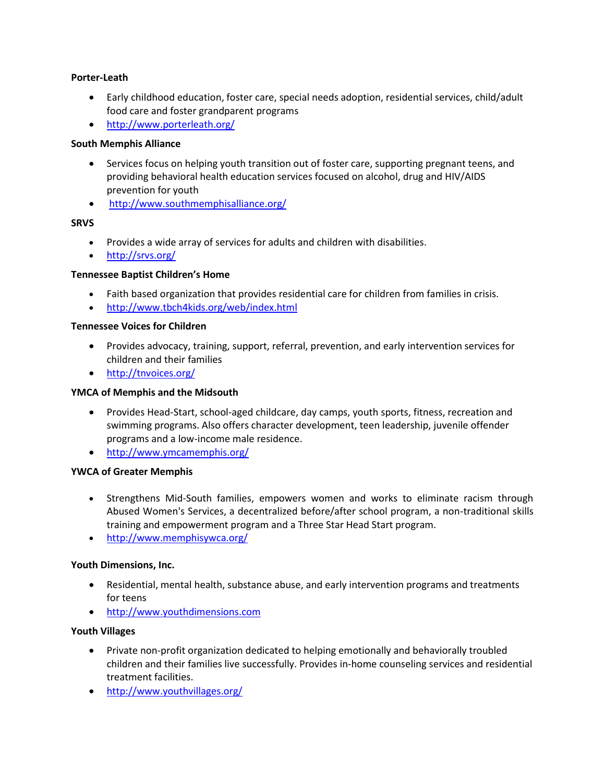## **Porter-Leath**

- Early childhood education, foster care, special needs adoption, residential services, child/adult food care and foster grandparent programs
- <http://www.porterleath.org/>

# **South Memphis Alliance**

- Services focus on helping youth transition out of foster care, supporting pregnant teens, and providing behavioral health education services focused on alcohol, drug and HIV/AIDS prevention for youth
- <http://www.southmemphisalliance.org/>

# **SRVS**

- Provides a wide array of services for adults and children with disabilities.
- <http://srvs.org/>

# **Tennessee Baptist Children's Home**

- Faith based organization that provides residential care for children from families in crisis.
- <http://www.tbch4kids.org/web/index.html>

# **Tennessee Voices for Children**

- Provides advocacy, training, support, referral, prevention, and early intervention services for children and their families
- <http://tnvoices.org/>

## **YMCA of Memphis and the Midsouth**

- Provides Head-Start, school-aged childcare, day camps, youth sports, fitness, recreation and swimming programs. Also offers character development, teen leadership, juvenile offender programs and a low-income male residence.
- <http://www.ymcamemphis.org/>

# **YWCA of Greater Memphis**

- Strengthens Mid-South families, empowers women and works to eliminate racism through Abused Women's Services, a decentralized before/after school program, a non-traditional skills training and empowerment program and a Three Star Head Start program.
- <http://www.memphisywca.org/>

# **Youth Dimensions, Inc.**

- Residential, mental health, substance abuse, and early intervention programs and treatments for teens
- [http://www.youthdimensions.com](http://www.youthdimensions.com/)

## **Youth Villages**

- Private non-profit organization dedicated to helping emotionally and behaviorally troubled children and their families live successfully. Provides in-home counseling services and residential treatment facilities.
- <http://www.youthvillages.org/>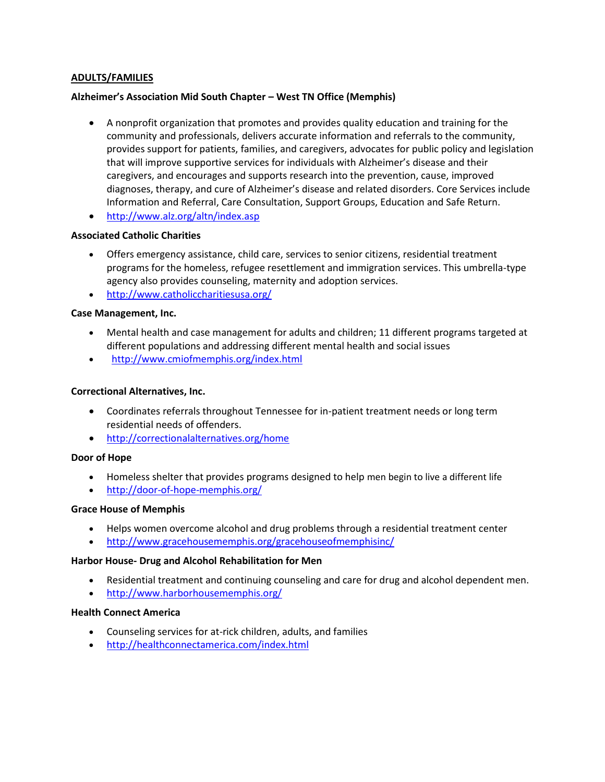## **ADULTS/FAMILIES**

#### **Alzheimer's Association Mid South Chapter – West TN Office (Memphis)**

- A nonprofit organization that promotes and provides quality education and training for the community and professionals, delivers accurate information and referrals to the community, provides support for patients, families, and caregivers, advocates for public policy and legislation that will improve supportive services for individuals with Alzheimer's disease and their caregivers, and encourages and supports research into the prevention, cause, improved diagnoses, therapy, and cure of Alzheimer's disease and related disorders. Core Services include Information and Referral, Care Consultation, Support Groups, Education and Safe Return.
- <http://www.alz.org/altn/index.asp>

#### **Associated Catholic Charities**

- Offers emergency assistance, child care, services to senior citizens, residential treatment programs for the homeless, refugee resettlement and immigration services. This umbrella-type agency also provides counseling, maternity and adoption services.
- <http://www.catholiccharitiesusa.org/>

#### **Case Management, Inc.**

- Mental health and case management for adults and children; 11 different programs targeted at different populations and addressing different mental health and social issues
- <http://www.cmiofmemphis.org/index.html>

#### **Correctional Alternatives, Inc.**

- Coordinates referrals throughout Tennessee for in-patient treatment needs or long term residential needs of offenders.
- <http://correctionalalternatives.org/home>

#### **Door of Hope**

- Homeless shelter that provides programs designed to help men begin to live a different life
- <http://door-of-hope-memphis.org/>

#### **Grace House of Memphis**

- Helps women overcome alcohol and drug problems through a residential treatment center
- <http://www.gracehousememphis.org/gracehouseofmemphisinc/>

#### **Harbor House- Drug and Alcohol Rehabilitation for Men**

- Residential treatment and continuing counseling and care for drug and alcohol dependent men.
- <http://www.harborhousememphis.org/>

#### **Health Connect America**

- Counseling services for at-rick children, adults, and families
- <http://healthconnectamerica.com/index.html>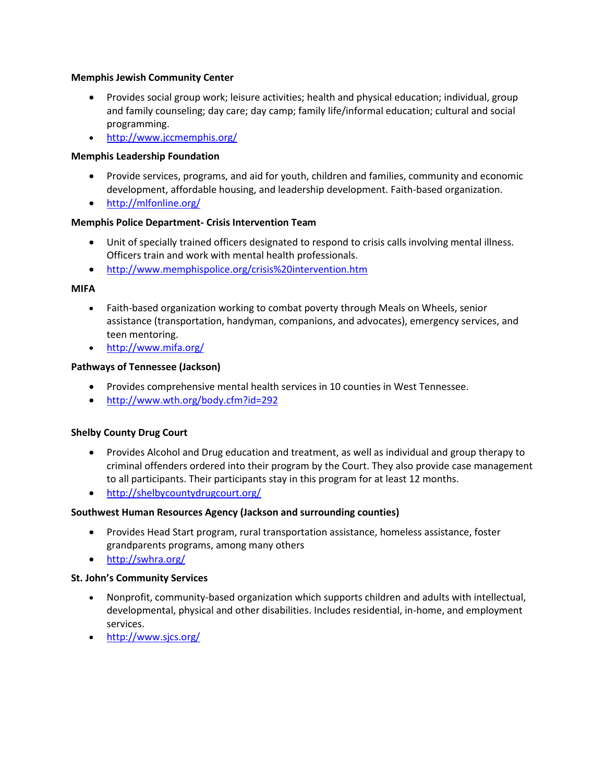## **Memphis Jewish Community Center**

- Provides social group work; leisure activities; health and physical education; individual, group and family counseling; day care; day camp; family life/informal education; cultural and social programming.
- <http://www.jccmemphis.org/>

## **Memphis Leadership Foundation**

- Provide services, programs, and aid for youth, children and families, community and economic development, affordable housing, and leadership development. Faith-based organization.
- <http://mlfonline.org/>

## **Memphis Police Department- Crisis Intervention Team**

- Unit of specially trained officers designated to respond to crisis calls involving mental illness. Officers train and work with mental health professionals.
- <http://www.memphispolice.org/crisis%20intervention.htm>

## **MIFA**

- Faith-based organization working to combat poverty through Meals on Wheels, senior assistance (transportation, handyman, companions, and advocates), emergency services, and teen mentoring.
- <http://www.mifa.org/>

## **Pathways of Tennessee (Jackson)**

- Provides comprehensive mental health services in 10 counties in West Tennessee.
- <http://www.wth.org/body.cfm?id=292>

## **Shelby County Drug Court**

- Provides Alcohol and Drug education and treatment, as well as individual and group therapy to criminal offenders ordered into their program by the Court. They also provide case management to all participants. Their participants stay in this program for at least 12 months.
- <http://shelbycountydrugcourt.org/>

## **Southwest Human Resources Agency (Jackson and surrounding counties)**

- Provides Head Start program, rural transportation assistance, homeless assistance, foster grandparents programs, among many others
- <http://swhra.org/>

## **St. John's Community Services**

- Nonprofit, community-based organization which supports children and adults with intellectual, developmental, physical and other disabilities. Includes residential, in-home, and employment services.
- <http://www.sjcs.org/>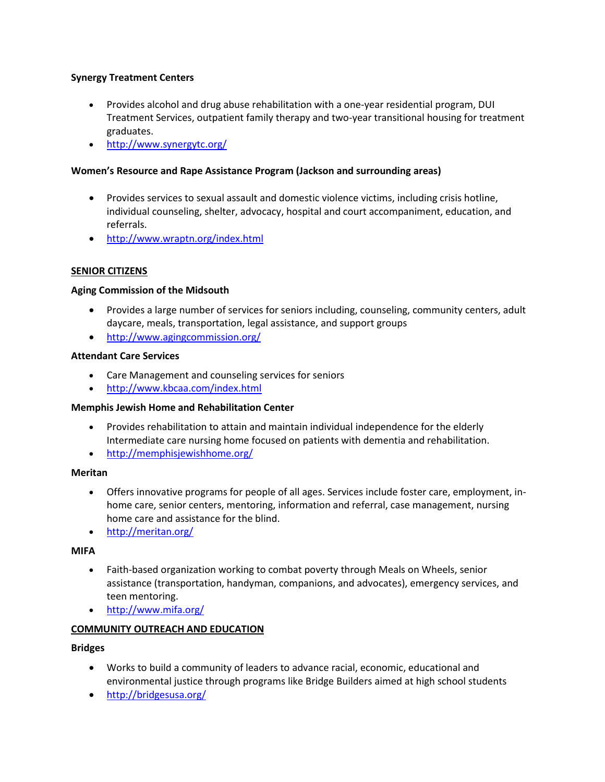## **Synergy Treatment Centers**

- Provides alcohol and drug abuse rehabilitation with a one-year residential program, DUI Treatment Services, outpatient family therapy and two-year transitional housing for treatment graduates.
- <http://www.synergytc.org/>

# **Women's Resource and Rape Assistance Program (Jackson and surrounding areas)**

- Provides services to sexual assault and domestic violence victims, including crisis hotline, individual counseling, shelter, advocacy, hospital and court accompaniment, education, and referrals.
- <http://www.wraptn.org/index.html>

# **SENIOR CITIZENS**

## **Aging Commission of the Midsouth**

- Provides a large number of services for seniors including, counseling, community centers, adult daycare, meals, transportation, legal assistance, and support groups
- <http://www.agingcommission.org/>

## **Attendant Care Services**

- Care Management and counseling services for seniors
- <http://www.kbcaa.com/index.html>

## **Memphis Jewish Home and Rehabilitation Center**

- Provides rehabilitation to attain and maintain individual independence for the elderly Intermediate care nursing home focused on patients with dementia and rehabilitation.
- <http://memphisjewishhome.org/>

## **Meritan**

- Offers innovative programs for people of all ages. Services include foster care, employment, inhome care, senior centers, mentoring, information and referral, case management, nursing home care and assistance for the blind.
- <http://meritan.org/>

## **MIFA**

- Faith-based organization working to combat poverty through Meals on Wheels, senior assistance (transportation, handyman, companions, and advocates), emergency services, and teen mentoring.
- <http://www.mifa.org/>

## **COMMUNITY OUTREACH AND EDUCATION**

## **Bridges**

- Works to build a community of leaders to advance racial, economic, educational and environmental justice through programs like Bridge Builders aimed at high school students
- <http://bridgesusa.org/>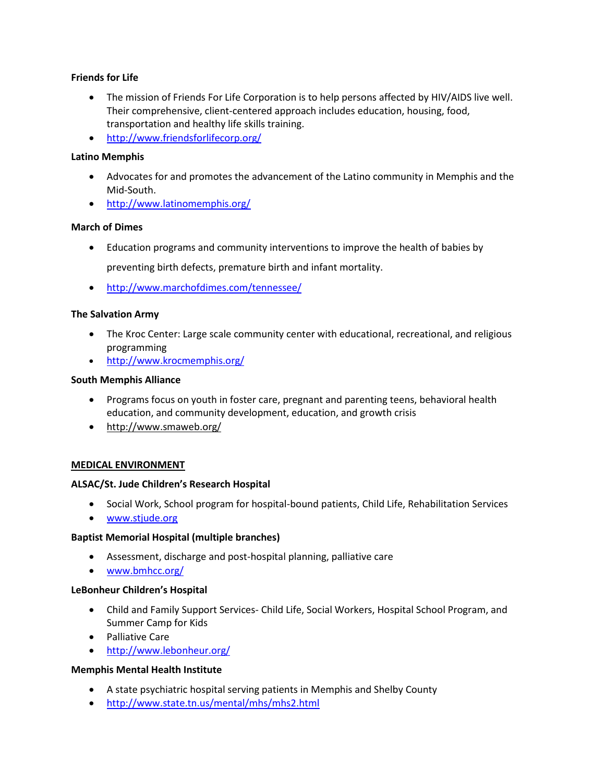# **Friends for Life**

- The mission of Friends For Life Corporation is to help persons affected by HIV/AIDS live well. Their comprehensive, client-centered approach includes education, housing, food, transportation and healthy life skills training.
- <http://www.friendsforlifecorp.org/>

## **Latino Memphis**

- Advocates for and promotes the advancement of the Latino community in Memphis and the Mid-South.
- <http://www.latinomemphis.org/>

## **March of Dimes**

- Education programs and community interventions to improve the health of babies by preventing birth defects, premature birth and infant mortality.
- <http://www.marchofdimes.com/tennessee/>

# **The Salvation Army**

- The Kroc Center: Large scale community center with educational, recreational, and religious programming
- <http://www.krocmemphis.org/>

## **South Memphis Alliance**

- Programs focus on youth in foster care, pregnant and parenting teens, behavioral health education, and community development, education, and growth crisis
- <http://www.smaweb.org/>

## **MEDICAL ENVIRONMENT**

## **ALSAC/St. Jude Children's Research Hospital**

- Social Work, School program for hospital-bound patients, Child Life, Rehabilitation Services
- [www.stjude.org](http://www.stjude.org/)

## **Baptist Memorial Hospital (multiple branches)**

- Assessment, discharge and post-hospital planning, palliative care
- [www.bmhcc.org/](http://www.bmhcc.org/)

## **LeBonheur Children's Hospital**

- Child and Family Support Services- Child Life, Social Workers, Hospital School Program, and Summer Camp for Kids
- **•** Palliative Care
- <http://www.lebonheur.org/>

## **Memphis Mental Health Institute**

- A state psychiatric hospital serving patients in Memphis and Shelby County
- <http://www.state.tn.us/mental/mhs/mhs2.html>